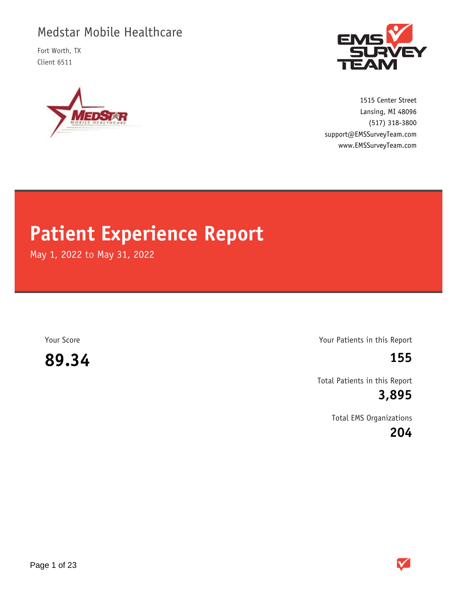# Medstar Mobile Healthcare

Fort Worth, TX Client 6511





1515 Center Street (517) 318-3800 www.EMSSurveyTeam.com support@EMSSurveyTeam.com Lansing, MI 48096

# **Patient Experience Report**

May 1, 2022 to May 31, 2022

**89.34 155**

Your Score Your Patients in this Report

Total Patients in this Report

**3,895**

Total EMS Organizations

**204**

 $\checkmark$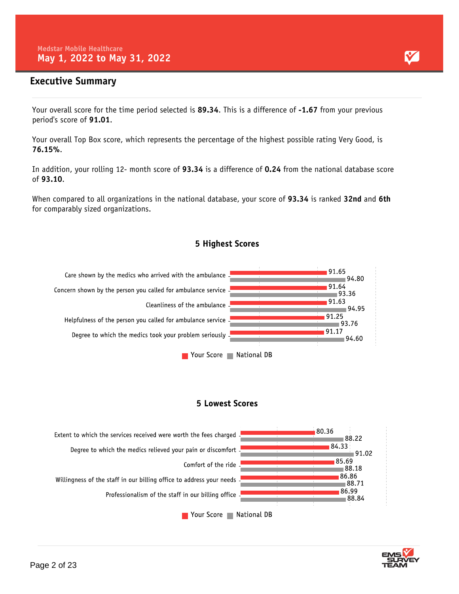### **Executive Summary**

Your overall score for the time period selected is **89.34**. This is a difference of **-1.67** from your previous period's score of **91.01**.

Your overall Top Box score, which represents the percentage of the highest possible rating Very Good, is **76.15%**.

In addition, your rolling 12- month score of **93.34** is a difference of **0.24** from the national database score of **93.10**.

When compared to all organizations in the national database, your score of **93.34** is ranked **32nd** and **6th** for comparably sized organizations.





#### **5 Lowest Scores**



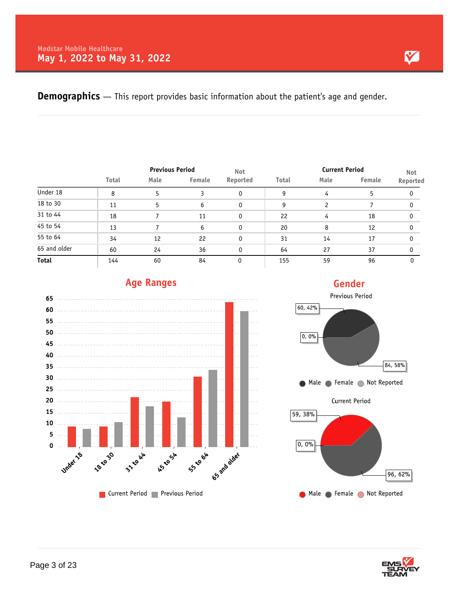**Demographics** — This report provides basic information about the patient's age and gender.

|              |              |      | <b>Previous Period</b> |                        |              | <b>Current Period</b> | <b>Not</b> |          |
|--------------|--------------|------|------------------------|------------------------|--------------|-----------------------|------------|----------|
|              | <b>Total</b> | Male | Female                 | <b>Not</b><br>Reported | <b>Total</b> | Male                  | Female     | Reported |
| Under 18     | 8            | 5    | 3                      | 0                      | 9            | 4                     | 5          | 0        |
| 18 to 30     | 11           | 5    | 6                      | 0                      | 9            | $\mathcal{P}$         |            | 0        |
| 31 to 44     | 18           |      | 11                     | $\Omega$               | 22           | 4                     | 18         | $\Omega$ |
| 45 to 54     | 13           |      | 6                      | 0                      | 20           | 8                     | 12         | 0        |
| 55 to 64     | 34           | 12   | 22                     | $\mathbf{0}$           | 31           | 14                    | 17         | 0        |
| 65 and older | 60           | 24   | 36                     |                        | 64           | 27                    | 37         | 0        |
| <b>Total</b> | 144          | 60   | 84                     |                        | 155          | 59                    | 96         | 0        |



## **Age Ranges**

# **Gender**



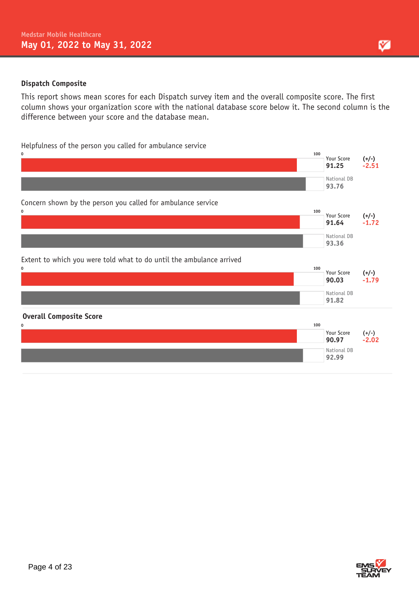#### **Dispatch Composite**

This report shows mean scores for each Dispatch survey item and the overall composite score. The first column shows your organization score with the national database score below it. The second column is the difference between your score and the database mean.

#### Helpfulness of the person you called for ambulance service



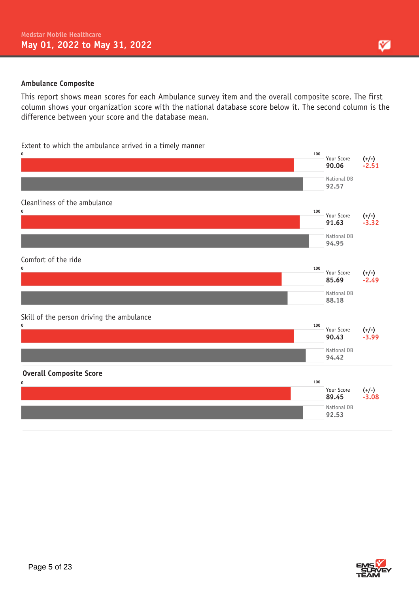#### **Ambulance Composite**

This report shows mean scores for each Ambulance survey item and the overall composite score. The first column shows your organization score with the national database score below it. The second column is the difference between your score and the database mean.

#### Extent to which the ambulance arrived in a timely manner



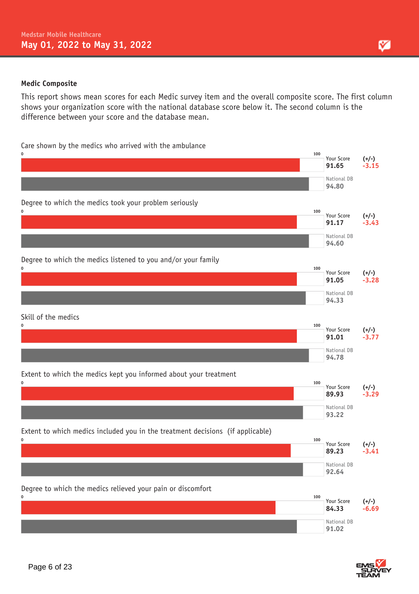#### **Medic Composite**

This report shows mean scores for each Medic survey item and the overall composite score. The first column shows your organization score with the national database score below it. The second column is the difference between your score and the database mean.

Care shown by the medics who arrived with the ambulance





М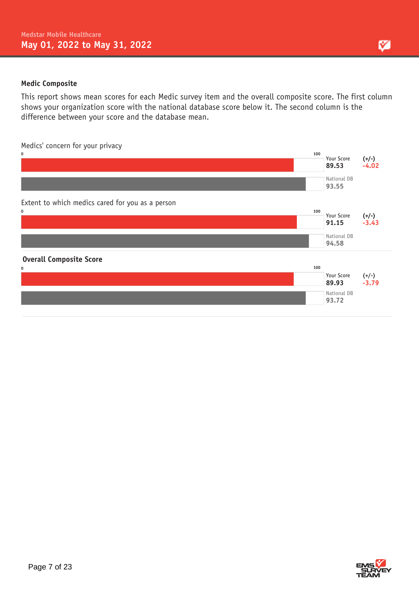#### **Medic Composite**

This report shows mean scores for each Medic survey item and the overall composite score. The first column shows your organization score with the national database score below it. The second column is the difference between your score and the database mean.

Medics' concern for your privacy

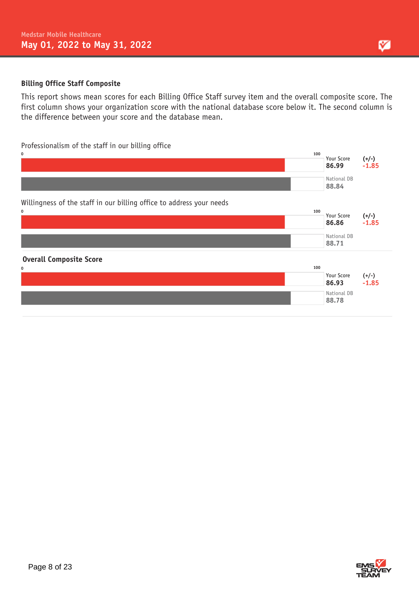#### **Billing Office Staff Composite**

This report shows mean scores for each Billing Office Staff survey item and the overall composite score. The first column shows your organization score with the national database score below it. The second column is the difference between your score and the database mean.

#### Professionalism of the staff in our billing office





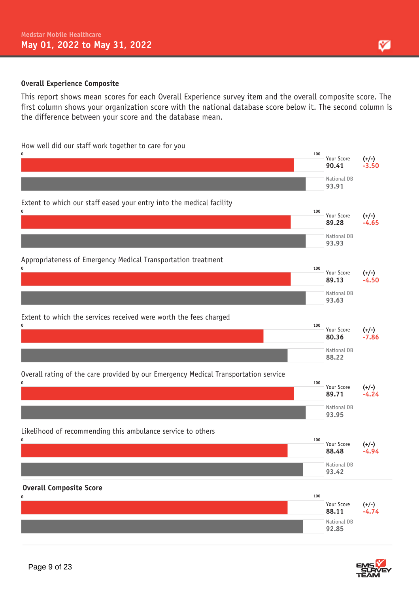#### **Overall Experience Composite**

This report shows mean scores for each Overall Experience survey item and the overall composite score. The first column shows your organization score with the national database score below it. The second column is the difference between your score and the database mean.

#### How well did our staff work together to care for you





М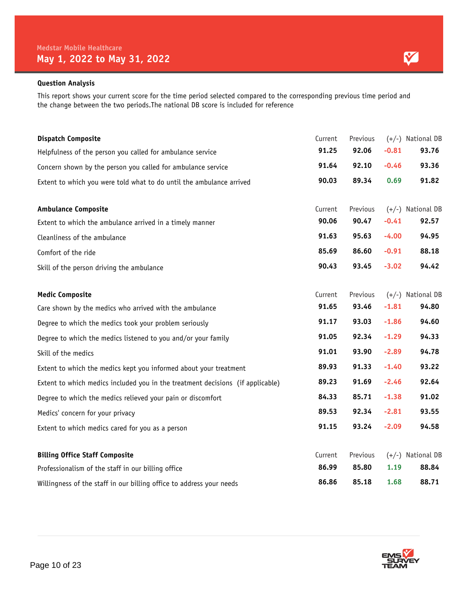This report shows your current score for the time period selected compared to the corresponding previous time period and the change between the two periods.The national DB score is included for reference

| <b>Dispatch Composite</b>                                                      | Current | Previous |         | (+/-) National DB |
|--------------------------------------------------------------------------------|---------|----------|---------|-------------------|
| Helpfulness of the person you called for ambulance service                     | 91.25   | 92.06    | $-0.81$ | 93.76             |
| Concern shown by the person you called for ambulance service                   | 91.64   | 92.10    | $-0.46$ | 93.36             |
| Extent to which you were told what to do until the ambulance arrived           | 90.03   | 89.34    | 0.69    | 91.82             |
| <b>Ambulance Composite</b>                                                     | Current | Previous | $(+/-)$ | National DB       |
| Extent to which the ambulance arrived in a timely manner                       | 90.06   | 90.47    | $-0.41$ | 92.57             |
| Cleanliness of the ambulance                                                   | 91.63   | 95.63    | $-4.00$ | 94.95             |
| Comfort of the ride                                                            | 85.69   | 86.60    | $-0.91$ | 88.18             |
| Skill of the person driving the ambulance                                      | 90.43   | 93.45    | $-3.02$ | 94.42             |
| <b>Medic Composite</b>                                                         | Current | Previous | $(+/-)$ | National DB       |
| Care shown by the medics who arrived with the ambulance                        | 91.65   | 93.46    | $-1.81$ | 94.80             |
| Degree to which the medics took your problem seriously                         | 91.17   | 93.03    | $-1.86$ | 94.60             |
| Degree to which the medics listened to you and/or your family                  | 91.05   | 92.34    | $-1.29$ | 94.33             |
| Skill of the medics                                                            | 91.01   | 93.90    | $-2.89$ | 94.78             |
| Extent to which the medics kept you informed about your treatment              | 89.93   | 91.33    | $-1.40$ | 93.22             |
| Extent to which medics included you in the treatment decisions (if applicable) | 89.23   | 91.69    | $-2.46$ | 92.64             |
| Degree to which the medics relieved your pain or discomfort                    | 84.33   | 85.71    | $-1.38$ | 91.02             |
| Medics' concern for your privacy                                               | 89.53   | 92.34    | $-2.81$ | 93.55             |
| Extent to which medics cared for you as a person                               | 91.15   | 93.24    | $-2.09$ | 94.58             |
| <b>Billing Office Staff Composite</b>                                          | Current | Previous |         | (+/-) National DB |
| Professionalism of the staff in our billing office                             | 86.99   | 85.80    | 1.19    | 88.84             |
| Willingness of the staff in our billing office to address your needs           | 86.86   | 85.18    | 1.68    | 88.71             |



Y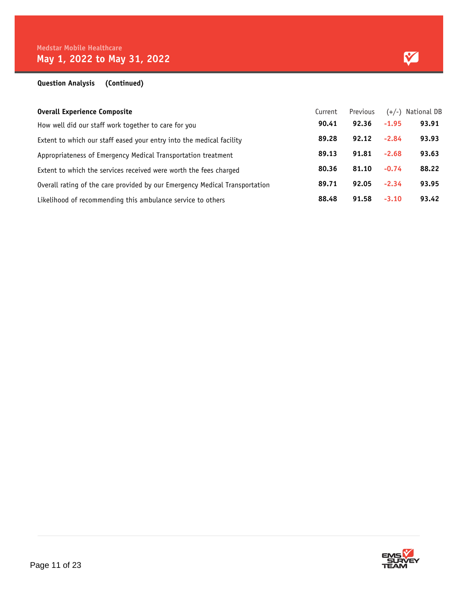#### **Question Analysis (Continued)**

| <b>Overall Experience Composite</b>                                         | Current | Previous |         | $(+/-)$ National DB |
|-----------------------------------------------------------------------------|---------|----------|---------|---------------------|
| How well did our staff work together to care for you                        | 90.41   | 92.36    | $-1.95$ | 93.91               |
| Extent to which our staff eased your entry into the medical facility        | 89.28   | 92.12    | $-2.84$ | 93.93               |
| Appropriateness of Emergency Medical Transportation treatment               | 89.13   | 91.81    | $-2.68$ | 93.63               |
| Extent to which the services received were worth the fees charged           | 80.36   | 81.10    | $-0.74$ | 88.22               |
| Overall rating of the care provided by our Emergency Medical Transportation | 89.71   | 92.05    | $-2.34$ | 93.95               |
| Likelihood of recommending this ambulance service to others                 | 88.48   | 91.58    | $-3.10$ | 93.42               |

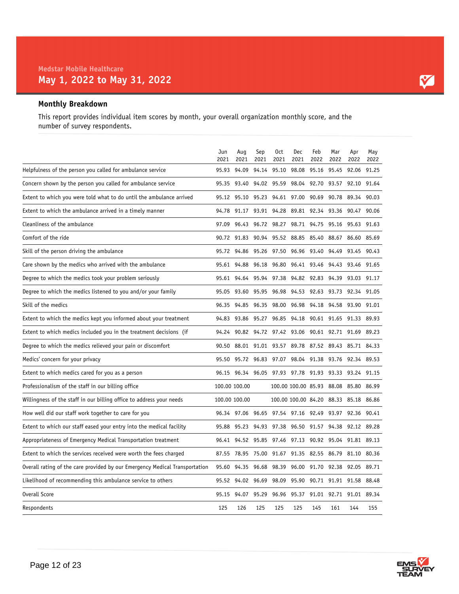#### **Monthly Breakdown**

This report provides individual item scores by month, your overall organization monthly score, and the number of survey respondents.

|                                                                             | Jun<br>2021 | Aug<br>2021       | Sep<br>2021 | 0ct<br>2021                                           | Dec<br>2021                           | Feb<br>2022 | Mar<br>2022 | Apr<br>2022             | May<br>2022 |
|-----------------------------------------------------------------------------|-------------|-------------------|-------------|-------------------------------------------------------|---------------------------------------|-------------|-------------|-------------------------|-------------|
| Helpfulness of the person you called for ambulance service                  | 95.93       |                   |             | 94.09 94.14 95.10 98.08 95.16 95.45 92.06 91.25       |                                       |             |             |                         |             |
| Concern shown by the person you called for ambulance service                | 95.35       | 93.40             |             | 94.02 95.59 98.04 92.70 93.57 92.10 91.64             |                                       |             |             |                         |             |
| Extent to which you were told what to do until the ambulance arrived        |             |                   |             | 95.12 95.10 95.23 94.61 97.00 90.69 90.78 89.34 90.03 |                                       |             |             |                         |             |
| Extent to which the ambulance arrived in a timely manner                    |             |                   |             | 94.78 91.17 93.91 94.28 89.81 92.34 93.36 90.47 90.06 |                                       |             |             |                         |             |
| Cleanliness of the ambulance                                                | 97.09       |                   |             | 96.43 96.72 98.27 98.71 94.75 95.16 95.63 91.63       |                                       |             |             |                         |             |
| Comfort of the ride                                                         |             |                   |             | 90.72 91.83 90.94 95.52 88.85 85.40 88.67             |                                       |             |             | 86.60 85.69             |             |
| Skill of the person driving the ambulance                                   |             |                   |             | 95.72 94.86 95.26 97.50 96.96 93.40 94.49             |                                       |             |             | 93.45 90.43             |             |
| Care shown by the medics who arrived with the ambulance                     |             | 95.61 94.88       |             | 96.18 96.80 96.41 93.46 94.43 93.46 91.65             |                                       |             |             |                         |             |
| Degree to which the medics took your problem seriously                      |             |                   |             | 95.61 94.64 95.94 97.38 94.82 92.83 94.39 93.03 91.17 |                                       |             |             |                         |             |
| Degree to which the medics listened to you and/or your family               | 95.05       | 93.60             | 95.95       | 96.98                                                 | 94.53 92.63 93.73 92.34 91.05         |             |             |                         |             |
| Skill of the medics                                                         |             | 96.35 94.85 96.35 |             | 98.00 96.98 94.18 94.58 93.90 91.01                   |                                       |             |             |                         |             |
| Extent to which the medics kept you informed about your treatment           |             |                   |             | 94.83 93.86 95.27 96.85 94.18 90.61 91.65 91.33 89.93 |                                       |             |             |                         |             |
| Extent to which medics included you in the treatment decisions (if          | 94.24       |                   |             | 90.82 94.72 97.42 93.06 90.61 92.71 91.69 89.23       |                                       |             |             |                         |             |
| Degree to which the medics relieved your pain or discomfort                 | 90.50       |                   |             | 88.01 91.01 93.57 89.78 87.52 89.43 85.71 84.33       |                                       |             |             |                         |             |
| Medics' concern for your privacy                                            | 95.50       |                   |             | 95.72 96.83 97.07 98.04 91.38 93.76 92.34 89.53       |                                       |             |             |                         |             |
| Extent to which medics cared for you as a person                            |             |                   |             | 96.15 96.34 96.05 97.93 97.78 91.93 93.33 93.24 91.15 |                                       |             |             |                         |             |
| Professionalism of the staff in our billing office                          |             | 100.00 100.00     |             |                                                       | 100.00 100.00 85.93 88.08 85.80 86.99 |             |             |                         |             |
| Willingness of the staff in our billing office to address your needs        |             | 100.00 100.00     |             |                                                       | 100.00 100.00 84.20 88.33 85.18 86.86 |             |             |                         |             |
| How well did our staff work together to care for you                        |             |                   |             | 96.34 97.06 96.65 97.54 97.16 92.49 93.97 92.36 90.41 |                                       |             |             |                         |             |
| Extent to which our staff eased your entry into the medical facility        | 95.88       |                   |             | 95.23 94.93 97.38 96.50 91.57 94.38 92.12 89.28       |                                       |             |             |                         |             |
| Appropriateness of Emergency Medical Transportation treatment               | 96.41       | 94.52             | 95.85       |                                                       | 97.46 97.13 90.92 95.04 91.81 89.13   |             |             |                         |             |
| Extent to which the services received were worth the fees charged           | 87.55       | 78.95 75.00       |             | 91.67 91.35 82.55 86.79 81.10 80.36                   |                                       |             |             |                         |             |
| Overall rating of the care provided by our Emergency Medical Transportation | 95.60       |                   |             | 94.35 96.68 98.39 96.00 91.70 92.38 92.05 89.71       |                                       |             |             |                         |             |
| Likelihood of recommending this ambulance service to others                 |             | 95.52 94.02 96.69 |             |                                                       | 98.09 95.90 90.71 91.91 91.58 88.48   |             |             |                         |             |
| Overall Score                                                               | 95.15       | 94.07             | 95.29       | 96.96                                                 | 95.37                                 |             |             | 91.01 92.71 91.01 89.34 |             |
| Respondents                                                                 | 125         | 126               | 125         | 125                                                   | 125                                   | 145         | 161         | 144                     | 155         |

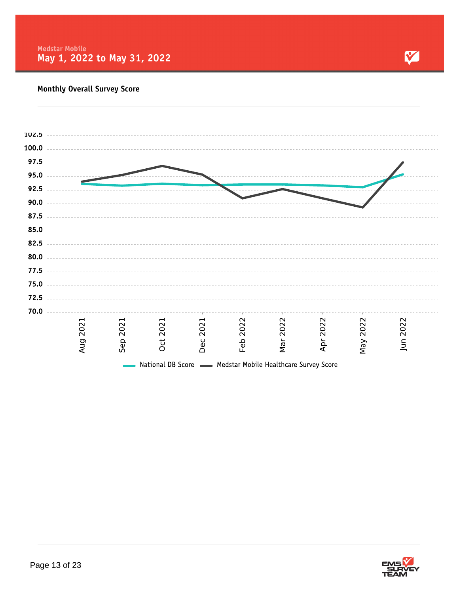

| 102.5 |      |      |      |                                                                 |      |      |      |      |          |  |
|-------|------|------|------|-----------------------------------------------------------------|------|------|------|------|----------|--|
| 100.0 |      |      |      |                                                                 |      |      |      |      |          |  |
| 97.5  |      |      |      |                                                                 |      |      |      |      |          |  |
| 95.0  |      |      |      |                                                                 |      |      |      |      |          |  |
| 92.5  |      |      |      |                                                                 |      |      |      |      |          |  |
| 90.0  |      |      |      |                                                                 |      |      |      |      |          |  |
| 87.5  |      |      |      |                                                                 |      |      |      |      |          |  |
| 85.0  |      |      |      |                                                                 |      |      |      |      |          |  |
| 82.5  |      |      |      |                                                                 |      |      |      |      |          |  |
| 80.0  |      |      |      |                                                                 |      |      |      |      |          |  |
| 77.5  |      |      |      |                                                                 |      |      |      |      |          |  |
| 75.0  |      |      |      |                                                                 |      |      |      |      |          |  |
| 72.5  |      |      |      |                                                                 |      |      |      |      |          |  |
| 70.0  |      |      |      |                                                                 |      |      |      |      |          |  |
|       | 2021 | 2021 | 2021 | 2021                                                            | 2022 | 2022 | 2022 | 2022 |          |  |
|       |      |      |      |                                                                 |      |      |      |      |          |  |
|       | Aug  | Sep  | Oct  | Dec                                                             | Feb  | Nar  | Apr  | Nay  | Jun 2022 |  |
|       |      |      |      | National DB Score <b>Medstar Mobile Healthcare Survey Score</b> |      |      |      |      |          |  |

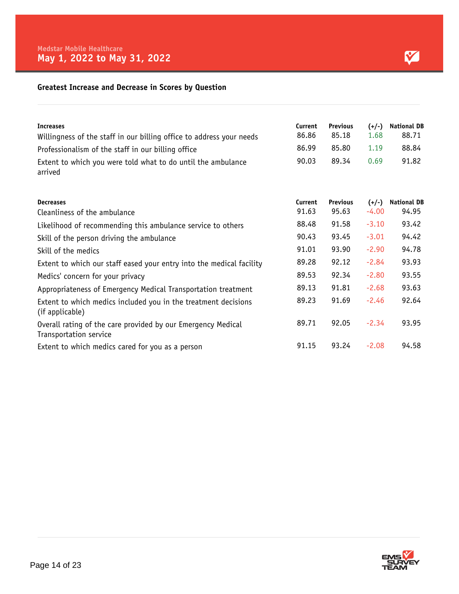#### **Greatest Increase and Decrease in Scores by Question**

| <b>Increases</b><br>Willingness of the staff in our billing office to address your needs<br>Professionalism of the staff in our billing office<br>Extent to which you were told what to do until the ambulance<br>arrived | Current<br>86.86<br>86.99<br>90.03 | <b>Previous</b><br>85.18<br>85.80<br>89.34 | $(+/-)$<br>1.68<br>1.19<br>0.69 | <b>National DB</b><br>88.71<br>88.84<br>91.82 |
|---------------------------------------------------------------------------------------------------------------------------------------------------------------------------------------------------------------------------|------------------------------------|--------------------------------------------|---------------------------------|-----------------------------------------------|
| <b>Decreases</b><br>Cleanliness of the ambulance                                                                                                                                                                          | Current<br>91.63                   | <b>Previous</b><br>95.63                   | $(+/-)$<br>$-4.00$              | <b>National DB</b><br>94.95                   |
| Likelihood of recommending this ambulance service to others                                                                                                                                                               | 88.48                              | 91.58                                      | $-3.10$                         | 93.42                                         |
| Skill of the person driving the ambulance                                                                                                                                                                                 | 90.43                              | 93.45                                      | $-3.01$                         | 94.42                                         |
| Skill of the medics                                                                                                                                                                                                       | 91.01                              | 93.90                                      | $-2.90$                         | 94.78                                         |
| Extent to which our staff eased your entry into the medical facility                                                                                                                                                      | 89.28                              | 92.12                                      | $-2.84$                         | 93.93                                         |
| Medics' concern for your privacy                                                                                                                                                                                          | 89.53                              | 92.34                                      | $-2.80$                         | 93.55                                         |
| Appropriateness of Emergency Medical Transportation treatment                                                                                                                                                             | 89.13                              | 91.81                                      | $-2.68$                         | 93.63                                         |
| Extent to which medics included you in the treatment decisions<br>(if applicable)                                                                                                                                         | 89.23                              | 91.69                                      | $-2.46$                         | 92.64                                         |
| Overall rating of the care provided by our Emergency Medical<br>Transportation service                                                                                                                                    | 89.71                              | 92.05                                      | $-2.34$                         | 93.95                                         |
| Extent to which medics cared for you as a person                                                                                                                                                                          | 91.15                              | 93.24                                      | $-2.08$                         | 94.58                                         |

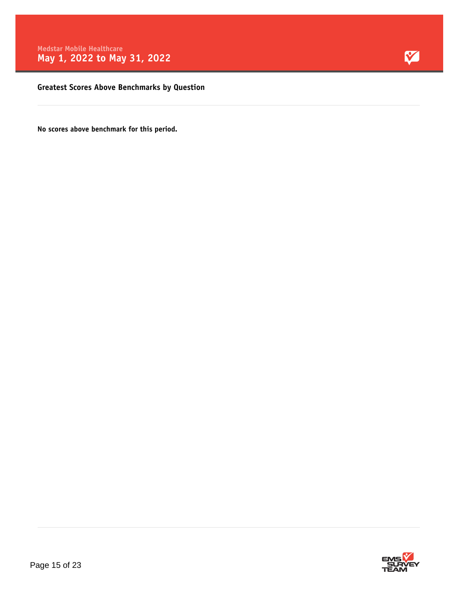

**Greatest Scores Above Benchmarks by Question**

**No scores above benchmark for this period.**

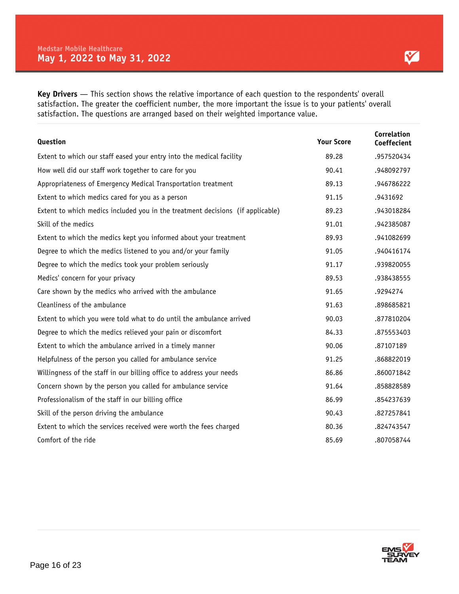**Key Drivers** — This section shows the relative importance of each question to the respondents' overall satisfaction. The greater the coefficient number, the more important the issue is to your patients' overall satisfaction. The questions are arranged based on their weighted importance value.

| Question                                                                       | <b>Your Score</b> | <b>Correlation</b><br>Coeffecient |
|--------------------------------------------------------------------------------|-------------------|-----------------------------------|
| Extent to which our staff eased your entry into the medical facility           | 89.28             | .957520434                        |
| How well did our staff work together to care for you                           | 90.41             | .948092797                        |
| Appropriateness of Emergency Medical Transportation treatment                  | 89.13             | .946786222                        |
| Extent to which medics cared for you as a person                               | 91.15             | .9431692                          |
| Extent to which medics included you in the treatment decisions (if applicable) | 89.23             | .943018284                        |
| Skill of the medics                                                            | 91.01             | .942385087                        |
| Extent to which the medics kept you informed about your treatment              | 89.93             | .941082699                        |
| Degree to which the medics listened to you and/or your family                  | 91.05             | .940416174                        |
| Degree to which the medics took your problem seriously                         | 91.17             | .939820055                        |
| Medics' concern for your privacy                                               | 89.53             | .938438555                        |
| Care shown by the medics who arrived with the ambulance                        | 91.65             | .9294274                          |
| Cleanliness of the ambulance                                                   | 91.63             | .898685821                        |
| Extent to which you were told what to do until the ambulance arrived           | 90.03             | .877810204                        |
| Degree to which the medics relieved your pain or discomfort                    | 84.33             | .875553403                        |
| Extent to which the ambulance arrived in a timely manner                       | 90.06             | .87107189                         |
| Helpfulness of the person you called for ambulance service                     | 91.25             | .868822019                        |
| Willingness of the staff in our billing office to address your needs           | 86.86             | .860071842                        |
| Concern shown by the person you called for ambulance service                   | 91.64             | .858828589                        |
| Professionalism of the staff in our billing office                             | 86.99             | .854237639                        |
| Skill of the person driving the ambulance                                      | 90.43             | .827257841                        |
| Extent to which the services received were worth the fees charged              | 80.36             | .824743547                        |
| Comfort of the ride                                                            | 85.69             | .807058744                        |

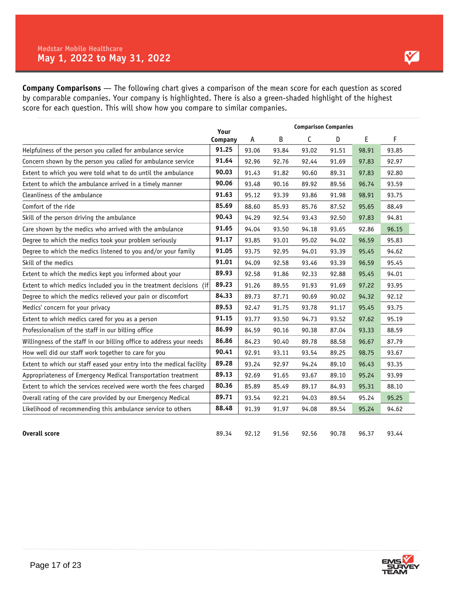**Company Comparisons** — The following chart gives a comparison of the mean score for each question as scored by comparable companies. Your company is highlighted. There is also a green-shaded highlight of the highest score for each question. This will show how you compare to similar companies.

|                                                                      | Your    |       |       | <b>Comparison Companies</b> |       |       |       |
|----------------------------------------------------------------------|---------|-------|-------|-----------------------------|-------|-------|-------|
|                                                                      | Company | A     | B     | C                           | D     | E     | F     |
| Helpfulness of the person you called for ambulance service           | 91.25   | 93.06 | 93.84 | 93.02                       | 91.51 | 98.91 | 93.85 |
| Concern shown by the person you called for ambulance service         | 91.64   | 92.96 | 92.76 | 92.44                       | 91.69 | 97.83 | 92.97 |
| Extent to which you were told what to do until the ambulance         | 90.03   | 91.43 | 91.82 | 90.60                       | 89.31 | 97.83 | 92.80 |
| Extent to which the ambulance arrived in a timely manner             | 90.06   | 93.48 | 90.16 | 89.92                       | 89.56 | 96.74 | 93.59 |
| Cleanliness of the ambulance                                         | 91.63   | 95.12 | 93.39 | 93.86                       | 91.98 | 98.91 | 93.75 |
| Comfort of the ride                                                  | 85.69   | 88.60 | 85.93 | 85.76                       | 87.52 | 95.65 | 88.49 |
| Skill of the person driving the ambulance                            | 90.43   | 94.29 | 92.54 | 93.43                       | 92.50 | 97.83 | 94.81 |
| Care shown by the medics who arrived with the ambulance              | 91.65   | 94.04 | 93.50 | 94.18                       | 93.65 | 92.86 | 96.15 |
| Degree to which the medics took your problem seriously               | 91.17   | 93.85 | 93.01 | 95.02                       | 94.02 | 96.59 | 95.83 |
| Degree to which the medics listened to you and/or your family        | 91.05   | 93.75 | 92.95 | 94.01                       | 93.39 | 95.45 | 94.62 |
| Skill of the medics                                                  | 91.01   | 94.09 | 92.58 | 93.46                       | 93.39 | 96.59 | 95.45 |
| Extent to which the medics kept you informed about your              | 89.93   | 92.58 | 91.86 | 92.33                       | 92.88 | 95.45 | 94.01 |
| Extent to which medics included you in the treatment decisions (if   | 89.23   | 91.26 | 89.55 | 91.93                       | 91.69 | 97.22 | 93.95 |
| Degree to which the medics relieved your pain or discomfort          | 84.33   | 89.73 | 87.71 | 90.69                       | 90.02 | 94.32 | 92.12 |
| Medics' concern for your privacy                                     | 89.53   | 92.47 | 91.75 | 93.78                       | 91.17 | 95.45 | 93.75 |
| Extent to which medics cared for you as a person                     | 91.15   | 93.77 | 93.50 | 94.73                       | 93.52 | 97.62 | 95.19 |
| Professionalism of the staff in our billing office                   | 86.99   | 84.59 | 90.16 | 90.38                       | 87.04 | 93.33 | 88.59 |
| Willingness of the staff in our billing office to address your needs | 86.86   | 84.23 | 90.40 | 89.78                       | 88.58 | 96.67 | 87.79 |
| How well did our staff work together to care for you                 | 90.41   | 92.91 | 93.11 | 93.54                       | 89.25 | 98.75 | 93.67 |
| Extent to which our staff eased your entry into the medical facility | 89.28   | 93.24 | 92.97 | 94.24                       | 89.10 | 96.43 | 93.35 |
| Appropriateness of Emergency Medical Transportation treatment        | 89.13   | 92.69 | 91.65 | 93.67                       | 89.10 | 95.24 | 93.99 |
| Extent to which the services received were worth the fees charged    | 80.36   | 85.89 | 85.49 | 89.17                       | 84.93 | 95.31 | 88.10 |
| Overall rating of the care provided by our Emergency Medical         | 89.71   | 93.54 | 92.21 | 94.03                       | 89.54 | 95.24 | 95.25 |
| Likelihood of recommending this ambulance service to others          | 88.48   | 91.39 | 91.97 | 94.08                       | 89.54 | 95.24 | 94.62 |
|                                                                      |         |       |       |                             |       |       |       |
| <b>Overall score</b>                                                 | 89.34   | 92.12 | 91.56 | 92.56                       | 90.78 | 96.37 | 93.44 |

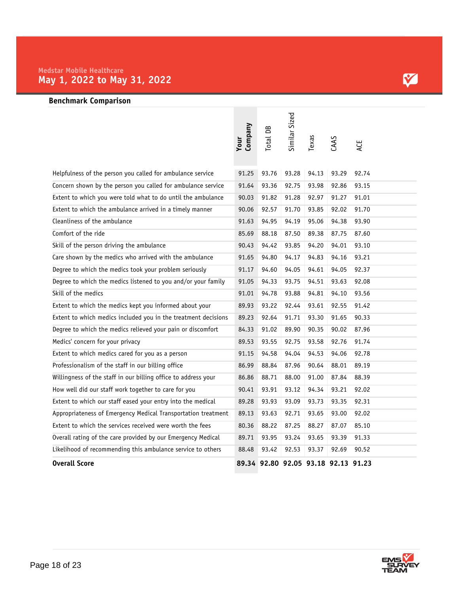### **Benchmark Comparison**

|                                                                | Company<br>Your | Total DB | Similar Sized | Texas                               | CAAS  | ACE   |
|----------------------------------------------------------------|-----------------|----------|---------------|-------------------------------------|-------|-------|
| Helpfulness of the person you called for ambulance service     | 91.25           | 93.76    | 93.28         | 94.13                               | 93.29 | 92.74 |
| Concern shown by the person you called for ambulance service   | 91.64           | 93.36    | 92.75         | 93.98                               | 92.86 | 93.15 |
| Extent to which you were told what to do until the ambulance   | 90.03           | 91.82    | 91.28         | 92.97                               | 91.27 | 91.01 |
| Extent to which the ambulance arrived in a timely manner       | 90.06           | 92.57    | 91.70         | 93.85                               | 92.02 | 91.70 |
| Cleanliness of the ambulance                                   | 91.63           | 94.95    | 94.19         | 95.06                               | 94.38 | 93.90 |
| Comfort of the ride                                            | 85.69           | 88.18    | 87.50         | 89.38                               | 87.75 | 87.60 |
| Skill of the person driving the ambulance                      | 90.43           | 94.42    | 93.85         | 94.20                               | 94.01 | 93.10 |
| Care shown by the medics who arrived with the ambulance        | 91.65           | 94.80    | 94.17         | 94.83                               | 94.16 | 93.21 |
| Degree to which the medics took your problem seriously         | 91.17           | 94.60    | 94.05         | 94.61                               | 94.05 | 92.37 |
| Degree to which the medics listened to you and/or your family  | 91.05           | 94.33    | 93.75         | 94.51                               | 93.63 | 92.08 |
| Skill of the medics                                            | 91.01           | 94.78    | 93.88         | 94.81                               | 94.10 | 93.56 |
| Extent to which the medics kept you informed about your        | 89.93           | 93.22    | 92.44         | 93.61                               | 92.55 | 91.42 |
| Extent to which medics included you in the treatment decisions | 89.23           | 92.64    | 91.71         | 93.30                               | 91.65 | 90.33 |
| Degree to which the medics relieved your pain or discomfort    | 84.33           | 91.02    | 89.90         | 90.35                               | 90.02 | 87.96 |
| Medics' concern for your privacy                               | 89.53           | 93.55    | 92.75         | 93.58                               | 92.76 | 91.74 |
| Extent to which medics cared for you as a person               | 91.15           | 94.58    | 94.04         | 94.53                               | 94.06 | 92.78 |
| Professionalism of the staff in our billing office             | 86.99           | 88.84    | 87.96         | 90.64                               | 88.01 | 89.19 |
| Willingness of the staff in our billing office to address your | 86.86           | 88.71    | 88.00         | 91.00                               | 87.84 | 88.39 |
| How well did our staff work together to care for you           | 90.41           | 93.91    | 93.12         | 94.34                               | 93.21 | 92.02 |
| Extent to which our staff eased your entry into the medical    | 89.28           | 93.93    | 93.09         | 93.73                               | 93.35 | 92.31 |
| Appropriateness of Emergency Medical Transportation treatment  | 89.13           | 93.63    | 92.71         | 93.65                               | 93.00 | 92.02 |
| Extent to which the services received were worth the fees      | 80.36           | 88.22    | 87.25         | 88.27                               | 87.07 | 85.10 |
| Overall rating of the care provided by our Emergency Medical   | 89.71           | 93.95    | 93.24         | 93.65                               | 93.39 | 91.33 |
| Likelihood of recommending this ambulance service to others    | 88.48           | 93.42    | 92.53         | 93.37                               | 92.69 | 90.52 |
| <b>Overall Score</b>                                           |                 |          |               | 89.34 92.80 92.05 93.18 92.13 91.23 |       |       |

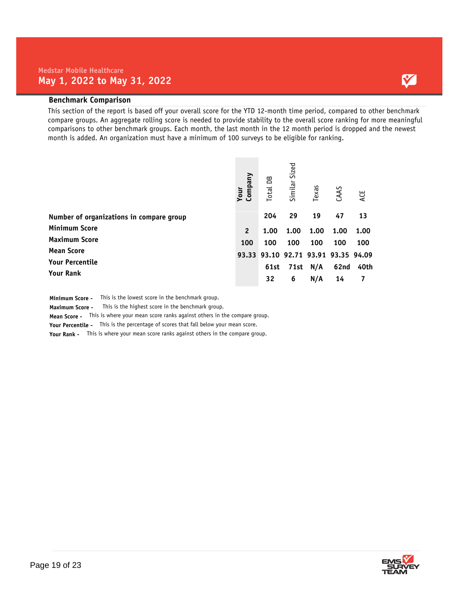#### **Benchmark Comparison**

This section of the report is based off your overall score for the YTD 12-month time period, compared to other benchmark compare groups. An aggregate rolling score is needed to provide stability to the overall score ranking for more meaningful comparisons to other benchmark groups. Each month, the last month in the 12 month period is dropped and the newest month is added. An organization must have a minimum of 100 surveys to be eligible for ranking.

|                                          | Company<br>Your | Total DB | Similar Sized | Texas | CAAS                          | ACE  |
|------------------------------------------|-----------------|----------|---------------|-------|-------------------------------|------|
| Number of organizations in compare group |                 | 204      | 29            | 19    | 47                            | 13   |
| <b>Minimum Score</b>                     | $\overline{2}$  | 1.00     | 1.00          | 1.00  | 1.00                          | 1.00 |
| <b>Maximum Score</b>                     | 100             | 100      | 100           | 100   | 100                           | 100  |
| <b>Mean Score</b>                        | 93.33           |          |               |       | 93.10 92.71 93.91 93.35 94.09 |      |
| <b>Your Percentile</b>                   |                 | 61st     | 71st          | N/A   | 62nd                          | 40th |
| <b>Your Rank</b>                         |                 | 32       | 6             | N/A   | 14                            |      |

**Minimum Score -** This is the lowest score in the benchmark group.

**Maximum Score -** This is the highest score in the benchmark group.

**Mean Score -** This is where your mean score ranks against others in the compare group.

**Your Percentile -** This is the percentage of scores that fall below your mean score.

**Your Rank -** This is where your mean score ranks against others in the compare group.

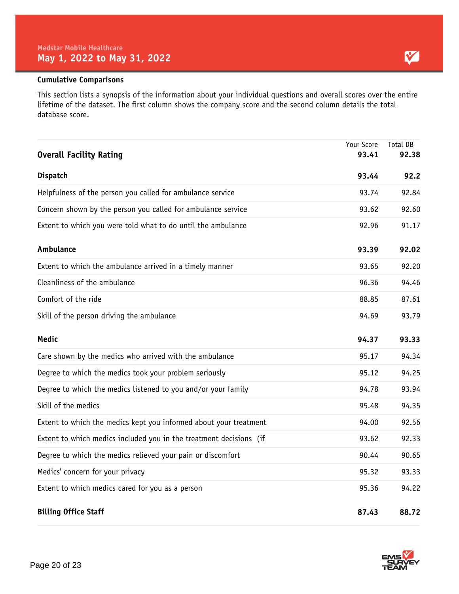#### **Cumulative Comparisons**

This section lists a synopsis of the information about your individual questions and overall scores over the entire lifetime of the dataset. The first column shows the company score and the second column details the total database score.

| <b>Overall Facility Rating</b>                                     | Your Score<br>93.41 | <b>Total DB</b><br>92.38 |
|--------------------------------------------------------------------|---------------------|--------------------------|
| <b>Dispatch</b>                                                    | 93.44               | 92.2                     |
| Helpfulness of the person you called for ambulance service         | 93.74               | 92.84                    |
| Concern shown by the person you called for ambulance service       | 93.62               | 92.60                    |
| Extent to which you were told what to do until the ambulance       | 92.96               | 91.17                    |
| Ambulance                                                          | 93.39               | 92.02                    |
| Extent to which the ambulance arrived in a timely manner           | 93.65               | 92.20                    |
| Cleanliness of the ambulance                                       | 96.36               | 94.46                    |
| Comfort of the ride                                                | 88.85               | 87.61                    |
| Skill of the person driving the ambulance                          | 94.69               | 93.79                    |
| <b>Medic</b>                                                       | 94.37               | 93.33                    |
| Care shown by the medics who arrived with the ambulance            | 95.17               | 94.34                    |
| Degree to which the medics took your problem seriously             | 95.12               | 94.25                    |
| Degree to which the medics listened to you and/or your family      | 94.78               | 93.94                    |
| Skill of the medics                                                | 95.48               | 94.35                    |
| Extent to which the medics kept you informed about your treatment  | 94.00               | 92.56                    |
| Extent to which medics included you in the treatment decisions (if | 93.62               | 92.33                    |
| Degree to which the medics relieved your pain or discomfort        | 90.44               | 90.65                    |
| Medics' concern for your privacy                                   | 95.32               | 93.33                    |
| Extent to which medics cared for you as a person                   | 95.36               | 94.22                    |
| <b>Billing Office Staff</b>                                        | 87.43               | 88.72                    |

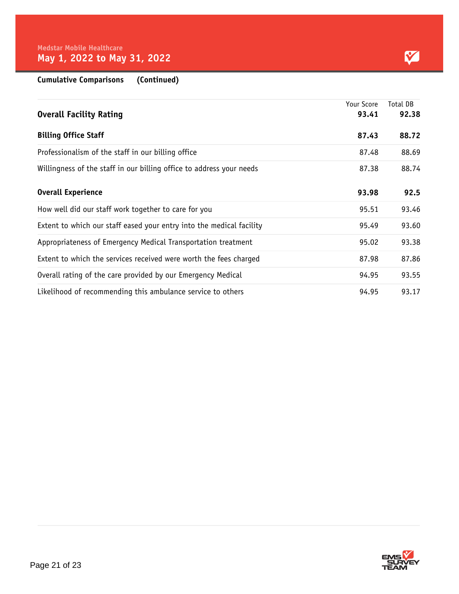| <b>Cumulative Comparisons</b> | (Continued) |
|-------------------------------|-------------|
|-------------------------------|-------------|

|                                                                      | Your Score | Total DB |
|----------------------------------------------------------------------|------------|----------|
| <b>Overall Facility Rating</b>                                       | 93.41      | 92.38    |
| <b>Billing Office Staff</b>                                          | 87.43      | 88.72    |
| Professionalism of the staff in our billing office                   | 87.48      | 88.69    |
| Willingness of the staff in our billing office to address your needs | 87.38      | 88.74    |
| <b>Overall Experience</b>                                            | 93.98      | 92.5     |
| How well did our staff work together to care for you                 | 95.51      | 93.46    |
| Extent to which our staff eased your entry into the medical facility | 95.49      | 93.60    |
| Appropriateness of Emergency Medical Transportation treatment        | 95.02      | 93.38    |
| Extent to which the services received were worth the fees charged    | 87.98      | 87.86    |
| Overall rating of the care provided by our Emergency Medical         | 94.95      | 93.55    |
| Likelihood of recommending this ambulance service to others          | 94.95      | 93.17    |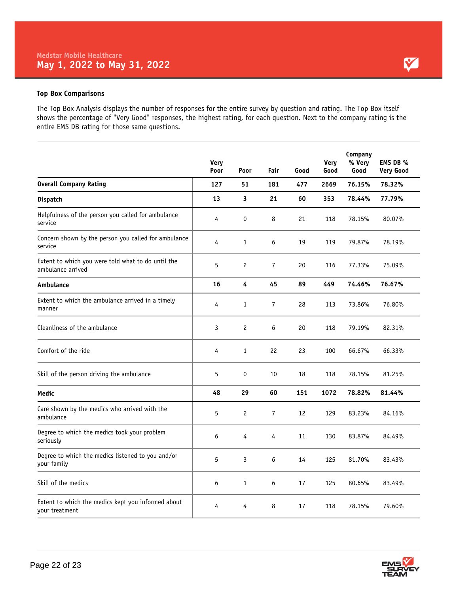#### **Top Box Comparisons**

The Top Box Analysis displays the number of responses for the entire survey by question and rating. The Top Box itself shows the percentage of "Very Good" responses, the highest rating, for each question. Next to the company rating is the entire EMS DB rating for those same questions.

|                                                                         | Very<br>Poor | Poor           | Fair           | Good | <b>Very</b><br>Good | Company<br>% Very<br>Good | EMS DB %<br><b>Very Good</b> |
|-------------------------------------------------------------------------|--------------|----------------|----------------|------|---------------------|---------------------------|------------------------------|
| <b>Overall Company Rating</b>                                           | 127          | 51             | 181            | 477  | 2669                | 76.15%                    | 78.32%                       |
| Dispatch                                                                | 13           | 3              | 21             | 60   | 353                 | 78.44%                    | 77.79%                       |
| Helpfulness of the person you called for ambulance<br>service           | 4            | 0              | 8              | 21   | 118                 | 78.15%                    | 80.07%                       |
| Concern shown by the person you called for ambulance<br>service         | 4            | $\mathbf{1}$   | 6              | 19   | 119                 | 79.87%                    | 78.19%                       |
| Extent to which you were told what to do until the<br>ambulance arrived | 5            | $\mathbf{2}$   | $\overline{7}$ | 20   | 116                 | 77.33%                    | 75.09%                       |
| Ambulance                                                               | 16           | 4              | 45             | 89   | 449                 | 74.46%                    | 76.67%                       |
| Extent to which the ambulance arrived in a timely<br>manner             | 4            | $\mathbf{1}$   | $\overline{7}$ | 28   | 113                 | 73.86%                    | 76.80%                       |
| Cleanliness of the ambulance                                            | 3            | $\overline{c}$ | 6              | 20   | 118                 | 79.19%                    | 82.31%                       |
| Comfort of the ride                                                     | 4            | $\mathbf{1}$   | 22             | 23   | 100                 | 66.67%                    | 66.33%                       |
| Skill of the person driving the ambulance                               | 5            | 0              | 10             | 18   | 118                 | 78.15%                    | 81.25%                       |
| Medic                                                                   | 48           | 29             | 60             | 151  | 1072                | 78.82%                    | 81.44%                       |
| Care shown by the medics who arrived with the<br>ambulance              | 5            | $\mathbf{2}$   | $\overline{7}$ | 12   | 129                 | 83.23%                    | 84.16%                       |
| Degree to which the medics took your problem<br>seriously               | 6            | 4              | 4              | 11   | 130                 | 83.87%                    | 84.49%                       |
| Degree to which the medics listened to you and/or<br>your family        | 5            | 3              | 6              | 14   | 125                 | 81.70%                    | 83.43%                       |
| Skill of the medics                                                     | 6            | $\mathbf{1}$   | 6              | 17   | 125                 | 80.65%                    | 83.49%                       |
| Extent to which the medics kept you informed about<br>your treatment    | 4            | 4              | 8              | 17   | 118                 | 78.15%                    | 79.60%                       |